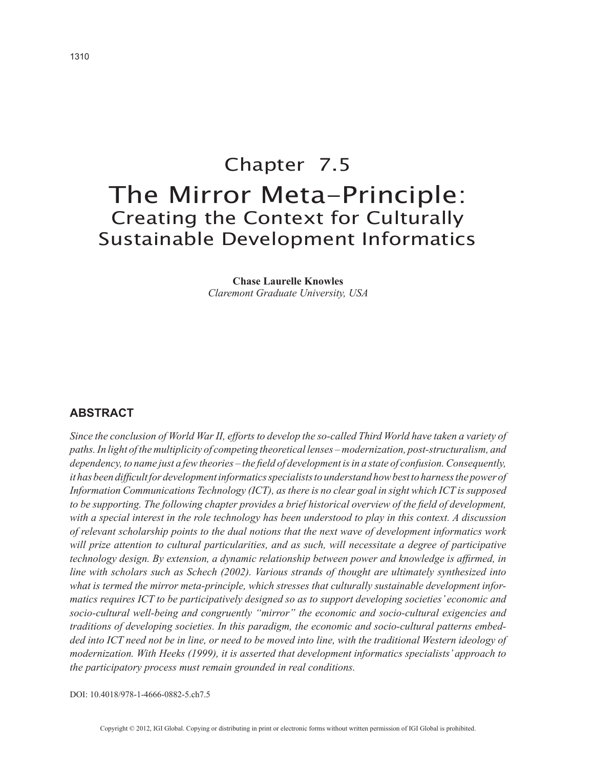# Chapter 7.5 The Mirror Meta-Principle: Creating the Context for Culturally Sustainable Development Informatics

**Chase Laurelle Knowles** *Claremont Graduate University, USA*

### **ABSTRACT**

*Since the conclusion of World War II, efforts to develop the so-called Third World have taken a variety of paths. In light of the multiplicity of competing theoretical lenses – modernization, post-structuralism, and dependency, to name just a few theories – the field of development is in a state of confusion. Consequently, it has been difficult for development informatics specialists to understand how best to harness the power of Information Communications Technology (ICT), as there is no clear goal in sight which ICT is supposed to be supporting. The following chapter provides a brief historical overview of the field of development, with a special interest in the role technology has been understood to play in this context. A discussion of relevant scholarship points to the dual notions that the next wave of development informatics work will prize attention to cultural particularities, and as such, will necessitate a degree of participative technology design. By extension, a dynamic relationship between power and knowledge is affirmed, in line with scholars such as Schech (2002). Various strands of thought are ultimately synthesized into what is termed the mirror meta-principle, which stresses that culturally sustainable development informatics requires ICT to be participatively designed so as to support developing societies' economic and socio-cultural well-being and congruently "mirror" the economic and socio-cultural exigencies and traditions of developing societies. In this paradigm, the economic and socio-cultural patterns embedded into ICT need not be in line, or need to be moved into line, with the traditional Western ideology of modernization. With Heeks (1999), it is asserted that development informatics specialists' approach to the participatory process must remain grounded in real conditions.*

DOI: 10.4018/978-1-4666-0882-5.ch7.5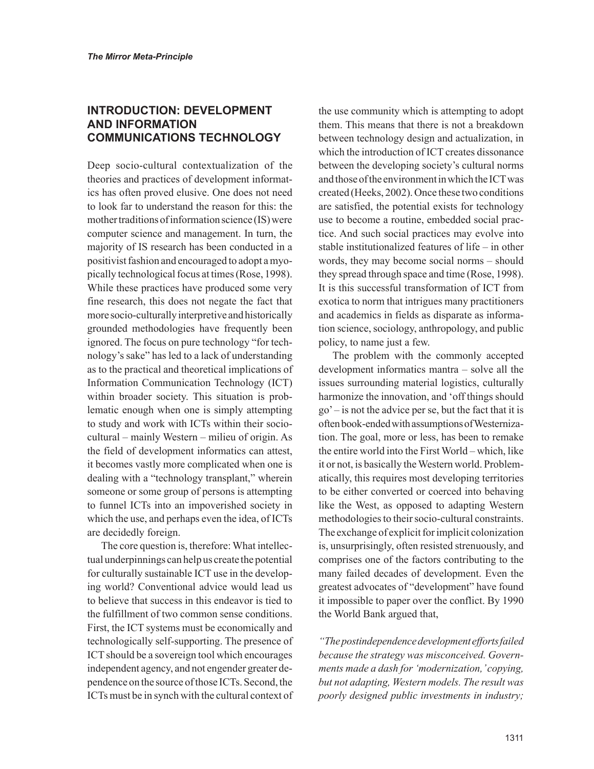## **INTRODUCTION: DEVELOPMENT AND INFORMATION COMMUNICATIONS TECHNOLOGY**

Deep socio-cultural contextualization of the theories and practices of development informatics has often proved elusive. One does not need to look far to understand the reason for this: the mother traditions of information science (IS) were computer science and management. In turn, the majority of IS research has been conducted in a positivist fashion and encouraged to adopt a myopically technological focus at times (Rose, 1998). While these practices have produced some very fine research, this does not negate the fact that more socio-culturally interpretive and historically grounded methodologies have frequently been ignored. The focus on pure technology "for technology's sake" has led to a lack of understanding as to the practical and theoretical implications of Information Communication Technology (ICT) within broader society. This situation is problematic enough when one is simply attempting to study and work with ICTs within their sociocultural – mainly Western – milieu of origin. As the field of development informatics can attest, it becomes vastly more complicated when one is dealing with a "technology transplant," wherein someone or some group of persons is attempting to funnel ICTs into an impoverished society in which the use, and perhaps even the idea, of ICTs are decidedly foreign.

The core question is, therefore: What intellectual underpinnings can help us create the potential for culturally sustainable ICT use in the developing world? Conventional advice would lead us to believe that success in this endeavor is tied to the fulfillment of two common sense conditions. First, the ICT systems must be economically and technologically self-supporting. The presence of ICT should be a sovereign tool which encourages independent agency, and not engender greater dependence on the source of those ICTs. Second, the ICTs must be in synch with the cultural context of the use community which is attempting to adopt them. This means that there is not a breakdown between technology design and actualization, in which the introduction of ICT creates dissonance between the developing society's cultural norms and those of the environment in which the ICT was created (Heeks, 2002). Once these two conditions are satisfied, the potential exists for technology use to become a routine, embedded social practice. And such social practices may evolve into stable institutionalized features of life – in other words, they may become social norms – should they spread through space and time (Rose, 1998). It is this successful transformation of ICT from exotica to norm that intrigues many practitioners and academics in fields as disparate as information science, sociology, anthropology, and public policy, to name just a few.

The problem with the commonly accepted development informatics mantra – solve all the issues surrounding material logistics, culturally harmonize the innovation, and 'off things should go' – is not the advice per se, but the fact that it is often book-ended with assumptions of Westernization. The goal, more or less, has been to remake the entire world into the First World – which, like it or not, is basically the Western world. Problematically, this requires most developing territories to be either converted or coerced into behaving like the West, as opposed to adapting Western methodologies to their socio-cultural constraints. The exchange of explicit for implicit colonization is, unsurprisingly, often resisted strenuously, and comprises one of the factors contributing to the many failed decades of development. Even the greatest advocates of "development" have found it impossible to paper over the conflict. By 1990 the World Bank argued that,

*"The postindependence development efforts failed because the strategy was misconceived. Governments made a dash for 'modernization,' copying, but not adapting, Western models. The result was poorly designed public investments in industry;*